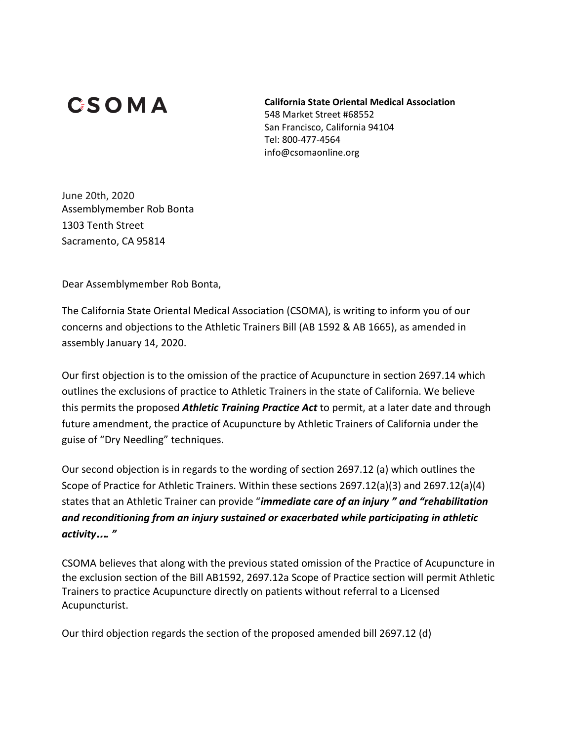## **CSOMA**

**California State Oriental Medical Association** 548 Market Street #68552 San Francisco, California 94104 Tel: 800-477-4564 info@csomaonline.org

June 20th, 2020 Assemblymember Rob Bonta 1303 Tenth Street Sacramento, CA 95814

Dear Assemblymember Rob Bonta,

The California State Oriental Medical Association (CSOMA), is writing to inform you of our concerns and objections to the Athletic Trainers Bill (AB 1592 & AB 1665), as amended in assembly January 14, 2020.

Our first objection is to the omission of the practice of Acupuncture in section 2697.14 which outlines the exclusions of practice to Athletic Trainers in the state of California. We believe this permits the proposed *Athletic Training Practice Act* to permit, at a later date and through future amendment, the practice of Acupuncture by Athletic Trainers of California under the guise of "Dry Needling" techniques.

Our second objection is in regards to the wording of section 2697.12 (a) which outlines the Scope of Practice for Athletic Trainers. Within these sections 2697.12(a)(3) and 2697.12(a)(4) states that an Athletic Trainer can provide "*immediate care of an injury " and "rehabilitation and reconditioning from an injury sustained or exacerbated while participating in athletic activity*…*. "*

CSOMA believes that along with the previous stated omission of the Practice of Acupuncture in the exclusion section of the Bill AB1592, 2697.12a Scope of Practice section will permit Athletic Trainers to practice Acupuncture directly on patients without referral to a Licensed Acupuncturist.

Our third objection regards the section of the proposed amended bill 2697.12 (d)